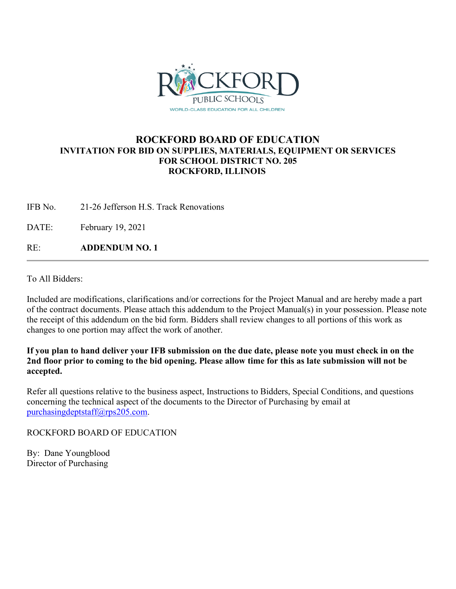

## **ROCKFORD BOARD OF EDUCATION INVITATION FOR BID ON SUPPLIES, MATERIALS, EQUIPMENT OR SERVICES FOR SCHOOL DISTRICT NO. 205 ROCKFORD, ILLINOIS**

IFB No. 21-26 Jefferson H.S. Track Renovations

DATE: February 19, 2021

RE: **ADDENDUM NO. 1**

To All Bidders:

Included are modifications, clarifications and/or corrections for the Project Manual and are hereby made a part of the contract documents. Please attach this addendum to the Project Manual(s) in your possession. Please note the receipt of this addendum on the bid form. Bidders shall review changes to all portions of this work as changes to one portion may affect the work of another.

**If you plan to hand deliver your IFB submission on the due date, please note you must check in on the 2nd floor prior to coming to the bid opening. Please allow time for this as late submission will not be accepted.**

Refer all questions relative to the business aspect, Instructions to Bidders, Special Conditions, and questions concerning the technical aspect of the documents to the Director of Purchasing by email at [purchasingdeptstaff@rps205.com.](mailto:purchasingdeptstaff@rps205.com)

ROCKFORD BOARD OF EDUCATION

By: Dane Youngblood Director of Purchasing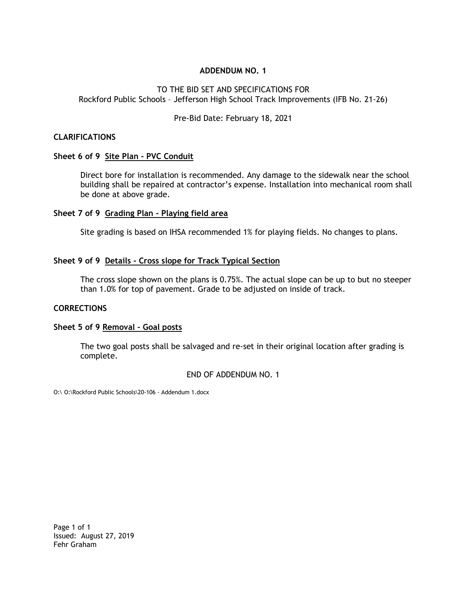#### **ADDENDUM NO. 1**

#### TO THE BID SET AND SPECIFICATIONS FOR Rockford Public Schools – Jefferson High School Track Improvements (IFB No. 21-26)

Pre-Bid Date: February 18, 2021

#### **CLARIFICATIONS**

#### **Sheet 6 of 9 Site Plan - PVC Conduit**

Direct bore for installation is recommended. Any damage to the sidewalk near the school building shall be repaired at contractor's expense. Installation into mechanical room shall be done at above grade.

#### **Sheet 7 of 9 Grading Plan - Playing field area**

Site grading is based on IHSA recommended 1% for playing fields. No changes to plans.

#### **Sheet 9 of 9 Details - Cross slope for Track Typical Section**

The cross slope shown on the plans is 0.75%. The actual slope can be up to but no steeper than 1.0% for top of pavement. Grade to be adjusted on inside of track.

#### **CORRECTIONS**

#### **Sheet 5 of 9 Removal – Goal posts**

The two goal posts shall be salvaged and re-set in their original location after grading is complete.

END OF ADDENDUM NO. 1

O:\ O:\Rockford Public Schools\20-106 - Addendum 1.docx

Page 1 of 1 Issued: August 27, 2019 Fehr Graham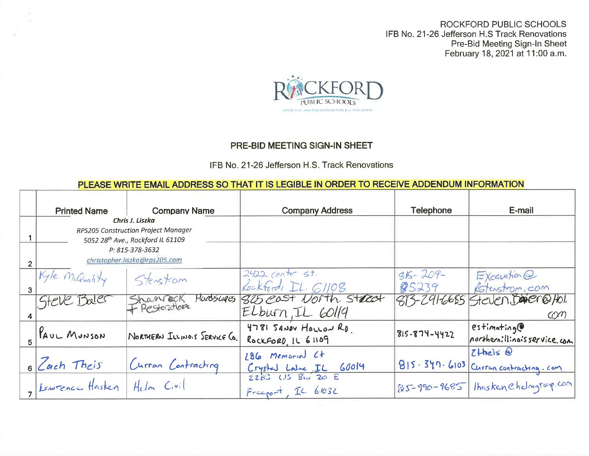ROCKFORD PUBLIC SCHOOLS IFB No. 21-26 Jefferson H.S Track Renovations Pre-Bid Meeting Sign-In Sheet<br>February 18, 2021 at 11:00 a.m.



## PRE-BID MEETING SIGN-IN SHEET

### IFB No. 21-26 Jefferson H.S. Track Renovations

# PLEASE WRITE EMAIL ADDRESS SO THAT IT IS LEGIBLE IN ORDER TO RECEIVE ADDENDUM INFORMATION

| <b>Printed Name</b>                                                                                     | <b>Company Name</b>           | <b>Company Address</b>                               | <b>Telephone</b>       | E-mail                                                 |
|---------------------------------------------------------------------------------------------------------|-------------------------------|------------------------------------------------------|------------------------|--------------------------------------------------------|
| Chris J. Liszka<br>RPS205 Construction Project Manager<br>5052 28 <sup>th</sup> Ave., Rockford IL 61109 |                               |                                                      |                        |                                                        |
| P: 815-378-3632<br>christopher.liszka@rps205.com                                                        |                               |                                                      |                        |                                                        |
| Kyle McQuality                                                                                          | Stenstrom                     | $2422$ center st.<br>Rockford, DL. G1108             | $315 - 209 -$<br>@5239 | $EXca$ ugtion $\omega$<br>Estenstrom.com               |
| Steve Baler                                                                                             | Shampock<br>+ Restoration     | Harosinges 825 east North Street<br>Elburn, IL GOL19 |                        | 813-241-6665 Steven, Dager@Hol.<br>$C\mathcal{N}$      |
| KAUL MUNSON                                                                                             | NORTHERN ILLINOIS SERVICE CO. | 4781 SANDY HOLLOW RD<br>ROCKFORD IL 61109            | 815-874-4422           | estimation<br>northernillinois service com             |
| 6 Cach Theis                                                                                            | Curran Contracting            | 286 Memorial Ct<br>Crysled Laber IL 60014            |                        | $Z$ thels $Q$<br>1815-347-6103 Curran contracting. com |
| I Lawrence Hasken   Helm Civil                                                                          |                               | Freegot, IL 61032                                    |                        | 85-990-9685 Thaskenchdmgroup.com                       |